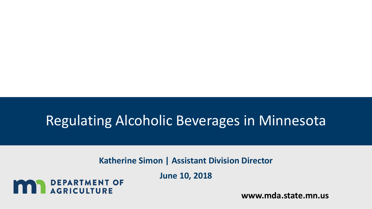### Regulating Alcoholic Beverages in Minnesota

**Katherine Simon | Assistant Division Director**

**June 10, 2018**

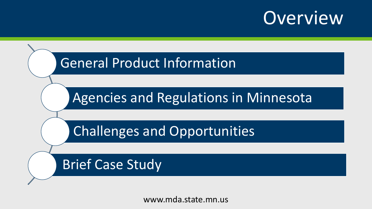# **Overview**

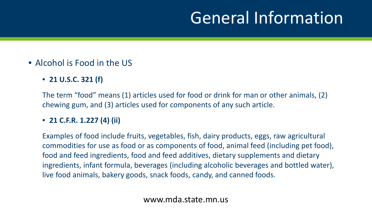# General Information

### • Alcohol is Food in the US

• **21 U.S.C. 321 (f)** 

The term "food" means (1) articles used for food or drink for man or other animals, (2) chewing gum, and (3) articles used for components of any such article.

### • **21 C.F.R. 1.227 (4) (ii)**

Examples of food include fruits, vegetables, fish, dairy products, eggs, raw agricultural commodities for use as food or as components of food, animal feed (including pet food), food and feed ingredients, food and feed additives, dietary supplements and dietary ingredients, infant formula, beverages (including alcoholic beverages and bottled water), live food animals, bakery goods, snack foods, candy, and canned foods.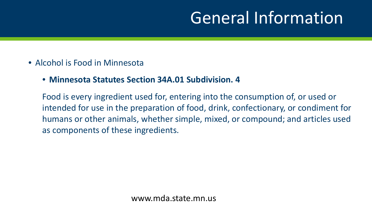# General Information

- Alcohol is Food in Minnesota
	- **Minnesota Statutes Section 34A.01 Subdivision. 4**

Food is every ingredient used for, entering into the consumption of, or used or intended for use in the preparation of food, drink, confectionary, or condiment for humans or other animals, whether simple, mixed, or compound; and articles used as components of these ingredients.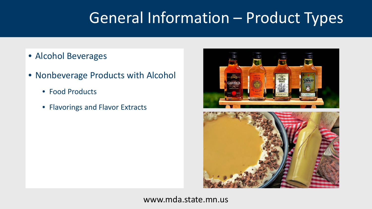## General Information – Product Types

- Alcohol Beverages
- Nonbeverage Products with Alcohol
	- Food Products
	- Flavorings and Flavor Extracts

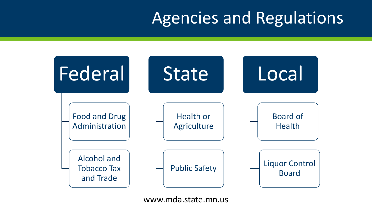# Agencies and Regulations

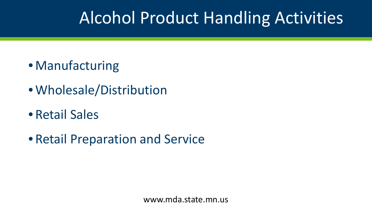# Alcohol Product Handling Activities

- Manufacturing
- Wholesale/Distribution
- Retail Sales
- Retail Preparation and Service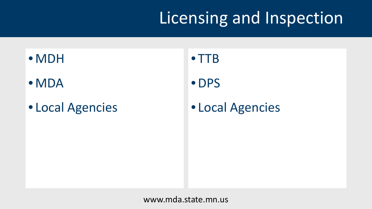# Licensing and Inspection

### • MDH

### • MDA

### • Local Agencies

• TTB •DPS

• Local Agencies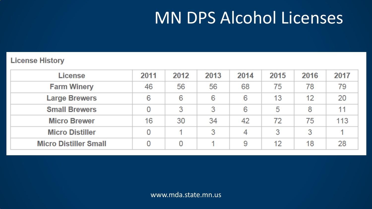# MN DPS Alcohol Licenses

#### **License History**

| <b>License</b>               | 2011 | 2012 | 2013 | 2014 | 2015 | 2016 | 2017 |
|------------------------------|------|------|------|------|------|------|------|
| <b>Farm Winery</b>           | 46   | 56   | 56   | 68   | 75   | 78   | 79   |
| <b>Large Brewers</b>         | 6    | 6    | 6    | 6    | 13   | 12   | 20   |
| <b>Small Brewers</b>         | 0    | 3    | 3    | 6    | 5    | 8    |      |
| <b>Micro Brewer</b>          | 16   | 30   | 34   | 42   | 72   | 75   | 113  |
| <b>Micro Distiller</b>       |      |      | 3    | 4    | 3    | 3    |      |
| <b>Micro Distiller Small</b> |      | 0    |      | 9    | 12   | 18   | 28   |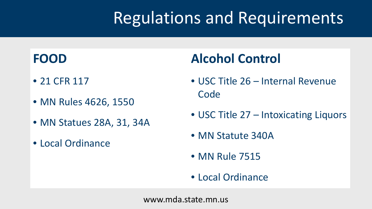# Regulations and Requirements

### **FOOD**

- 21 CFR 117
- MN Rules 4626, 1550
- MN Statues 28A, 31, 34A
- Local Ordinance

### **Alcohol Control**

- USC Title 26 Internal Revenue **Code**
- USC Title 27 Intoxicating Liquors
- MN Statute 340A
- MN Rule 7515
- Local Ordinance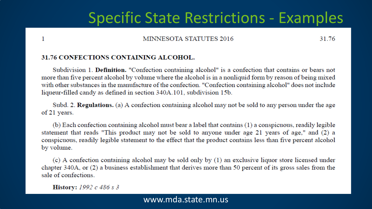### **Specific State Restrictions - Examples**

#### MINNESOTA STATUTES 2016

31.76

#### **31.76 CONFECTIONS CONTAINING ALCOHOL.**

Subdivision 1. Definition. "Confection containing alcohol" is a confection that contains or bears not more than five percent alcohol by volume where the alcohol is in a nonliquid form by reason of being mixed with other substances in the manufacture of the confection. "Confection containing alcohol" does not include liqueur-filled candy as defined in section 340A.101, subdivision 15b.

Subd. 2. Regulations. (a) A confection containing alcohol may not be sold to any person under the age of 21 years.

(b) Each confection containing alcohol must bear a label that contains (1) a conspicuous, readily legible statement that reads "This product may not be sold to anyone under age 21 years of age," and (2) a conspicuous, readily legible statement to the effect that the product contains less than five percent alcohol by volume.

 $\alpha$  (c) A confection containing alcohol may be sold only by (1) an exclusive liquor store licensed under chapter 340A, or (2) a business establishment that derives more than 50 percent of its gross sales from the sale of confections.

**History:** 1992  $c$  486  $s$  3

 $\mathbf{1}$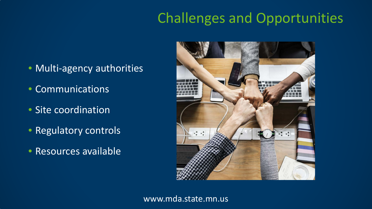## Challenges and Opportunities

- Multi-agency authorities
- Communications
- Site coordination
- Regulatory controls
- Resources available

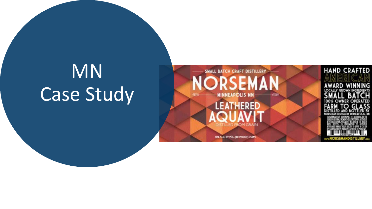# MN Case Study

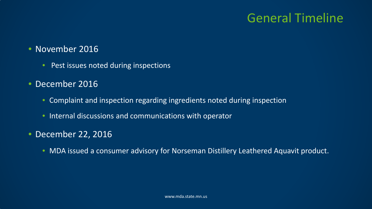### General Timeline

### • November 2016

• Pest issues noted during inspections

#### • December 2016

- Complaint and inspection regarding ingredients noted during inspection
- Internal discussions and communications with operator

### • December 22, 2016

• MDA issued a consumer advisory for Norseman Distillery Leathered Aquavit product.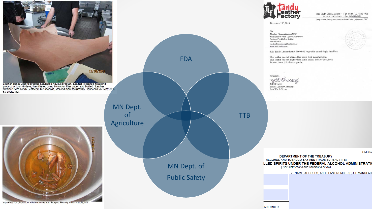

Leather pieces used to process Leathered Aquavit product. Leather is soaked in aquavit<br>product for four (4) days, then filtered using 70 micron filter paper, and bottled. Leather<br>obtained from Tandy Leather in Minneapolis,



In-process iron gin product with iron pieces from Prospect Foundry in Minneapolis, MN.



1900 South East Loop 820 · Fort Worth, TX 76140-1003 Phone: 817-872-3145 · Fax: 817-872-3121 Tandy Leather Factory is an American Stock Exchange Company "TLF"

OMB<sub>N</sub>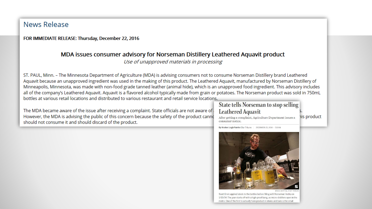#### News Release

FOR IMMEDIATE RELEASE: Thursday, December 22, 2016

#### MDA issues consumer advisory for Norseman Distillery Leathered Aquavit product

Use of unapproved materials in processing

ST. PAUL, Minn. - The Minnesota Department of Agriculture (MDA) is advising consumers not to consume Norseman Distillery brand Leathered Aquavit because an unapproved ingredient was used in the making of this product. The Leathered Aquavit, manufactured by Norseman Distillery of Minneapolis, Minnesota, was made with non-food grade tanned leather (animal hide), which is an unapproved food ingredient. This advisory includes all of the company's Leathered Aquavit. Aquavit is a flavored alcohol typically made from grain or potatoes. The Norseman product was sold in 750mL bottles at various retail locations and distributed to various restaurant and retail service locations.

The MDA became aware of the issue after receiving a complaint. State officials are not aware of However, the MDA is advising the public of this concern because the safety of the product canno should not consume it and should discard of the product.

#### **State tells Norseman to stop selling Leathered Aquavit**

After getting a complaint, Agriculture Department issues a consumer notice.

**nis product** 

By Kristen Leigh Painter Star Tribune | DECEMBER 23, 2016 - 7:31AM



Scott Ervin applied labels to the bottles before filling with Norseman Vodka on 1/10/14. The year starts off with a high-proof bang, as micro-distillers open in the metro. One of the first to actually have product in stores and bars is the small